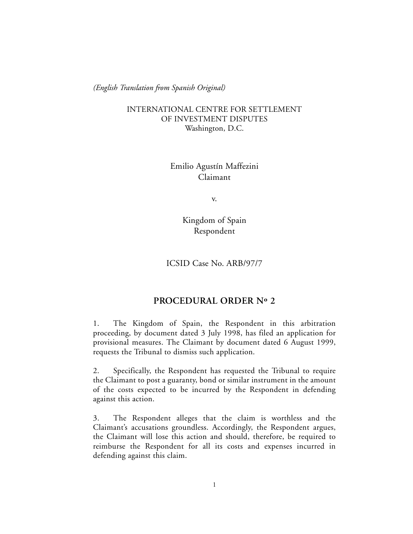*(English Translation from Spanish Original)*

## INTERNATIONAL CENTRE FOR SETTLEMENT OF INVESTMENT DISPUTES Washington, D.C.

Emilio Agustín Maffezini Claimant

v.

Kingdom of Spain Respondent

ICSID Case No. ARB/97/7

## **PROCEDURAL ORDER Nº 2**

1. The Kingdom of Spain, the Respondent in this arbitration proceeding, by document dated 3 July 1998, has filed an application for provisional measures. The Claimant by document dated 6 August 1999, requests the Tribunal to dismiss such application.

2. Specifically, the Respondent has requested the Tribunal to require the Claimant to post a guaranty, bond or similar instrument in the amount of the costs expected to be incurred by the Respondent in defending against this action.

3. The Respondent alleges that the claim is worthless and the Claimant's accusations groundless. Accordingly, the Respondent argues, the Claimant will lose this action and should, therefore, be required to reimburse the Respondent for all its costs and expenses incurred in defending against this claim.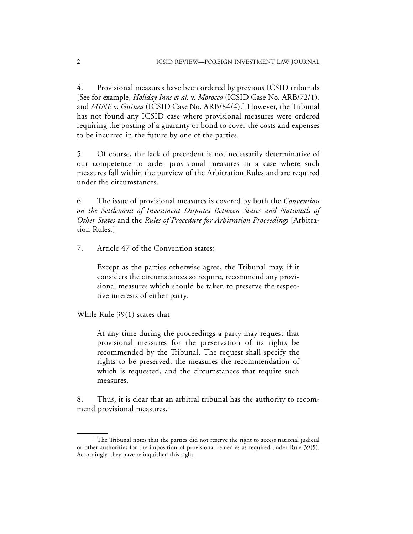4. Provisional measures have been ordered by previous ICSID tribunals [See for example, *Holiday Inns et al.* v. *Morocco* (ICSID Case No. ARB/72/1), and *MINE* v. *Guinea* (ICSID Case No. ARB/84/4).] However, the Tribunal has not found any ICSID case where provisional measures were ordered requiring the posting of a guaranty or bond to cover the costs and expenses to be incurred in the future by one of the parties.

5. Of course, the lack of precedent is not necessarily determinative of our competence to order provisional measures in a case where such measures fall within the purview of the Arbitration Rules and are required under the circumstances.

6. The issue of provisional measures is covered by both the *Convention on the Settlement of Investment Disputes Between States and Nationals of Other States* and the *Rules of Procedure for Arbitration Proceedings* [Arbitration Rules.]

7. Article 47 of the Convention states;

Except as the parties otherwise agree, the Tribunal may, if it considers the circumstances so require, recommend any provisional measures which should be taken to preserve the respective interests of either party.

While Rule 39(1) states that

At any time during the proceedings a party may request that provisional measures for the preservation of its rights be recommended by the Tribunal. The request shall specify the rights to be preserved, the measures the recommendation of which is requested, and the circumstances that require such measures.

8. Thus, it is clear that an arbitral tribunal has the authority to recommend provisional measures.<sup>1</sup>

 $1$  The Tribunal notes that the parties did not reserve the right to access national judicial or other authorities for the imposition of provisional remedies as required under Rule 39(5). Accordingly, they have relinquished this right.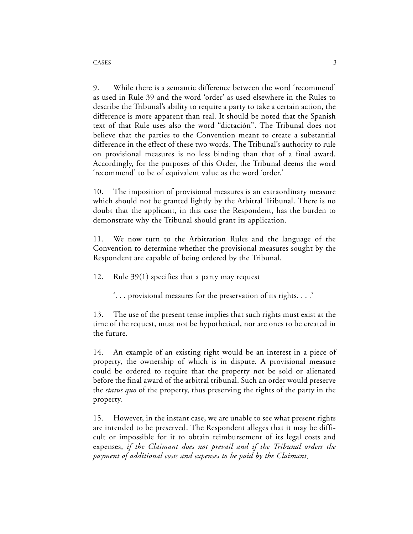9. While there is a semantic difference between the word 'recommend' as used in Rule 39 and the word 'order' as used elsewhere in the Rules to describe the Tribunal's ability to require a party to take a certain action, the difference is more apparent than real. It should be noted that the Spanish text of that Rule uses also the word "dictación". The Tribunal does not believe that the parties to the Convention meant to create a substantial difference in the effect of these two words. The Tribunal's authority to rule on provisional measures is no less binding than that of a final award. Accordingly, for the purposes of this Order, the Tribunal deems the word 'recommend' to be of equivalent value as the word 'order.'

10. The imposition of provisional measures is an extraordinary measure which should not be granted lightly by the Arbitral Tribunal. There is no doubt that the applicant, in this case the Respondent, has the burden to demonstrate why the Tribunal should grant its application.

11. We now turn to the Arbitration Rules and the language of the Convention to determine whether the provisional measures sought by the Respondent are capable of being ordered by the Tribunal.

12. Rule 39(1) specifies that a party may request

'. . . provisional measures for the preservation of its rights. . . .'

13. The use of the present tense implies that such rights must exist at the time of the request, must not be hypothetical, nor are ones to be created in the future.

14. An example of an existing right would be an interest in a piece of property, the ownership of which is in dispute. A provisional measure could be ordered to require that the property not be sold or alienated before the final award of the arbitral tribunal. Such an order would preserve the *status quo* of the property, thus preserving the rights of the party in the property.

15. However, in the instant case, we are unable to see what present rights are intended to be preserved. The Respondent alleges that it may be difficult or impossible for it to obtain reimbursement of its legal costs and expenses, *if the Claimant does not prevail and if the Tribunal orders the payment of additional costs and expenses to be paid by the Claimant*.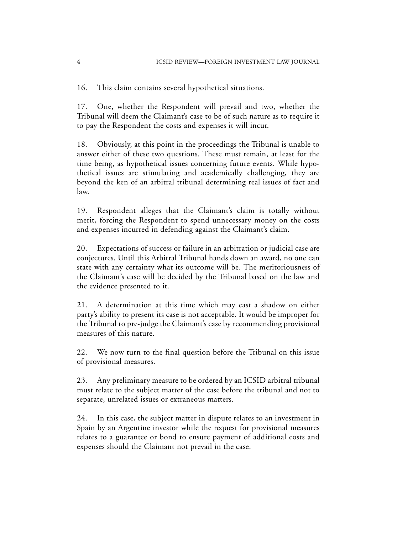16. This claim contains several hypothetical situations.

17. One, whether the Respondent will prevail and two, whether the Tribunal will deem the Claimant's case to be of such nature as to require it to pay the Respondent the costs and expenses it will incur.

18. Obviously, at this point in the proceedings the Tribunal is unable to answer either of these two questions. These must remain, at least for the time being, as hypothetical issues concerning future events. While hypothetical issues are stimulating and academically challenging, they are beyond the ken of an arbitral tribunal determining real issues of fact and law.

19. Respondent alleges that the Claimant's claim is totally without merit, forcing the Respondent to spend unnecessary money on the costs and expenses incurred in defending against the Claimant's claim.

20. Expectations of success or failure in an arbitration or judicial case are conjectures. Until this Arbitral Tribunal hands down an award, no one can state with any certainty what its outcome will be. The meritoriousness of the Claimant's case will be decided by the Tribunal based on the law and the evidence presented to it.

21. A determination at this time which may cast a shadow on either party's ability to present its case is not acceptable. It would be improper for the Tribunal to pre-judge the Claimant's case by recommending provisional measures of this nature.

22. We now turn to the final question before the Tribunal on this issue of provisional measures.

23. Any preliminary measure to be ordered by an ICSID arbitral tribunal must relate to the subject matter of the case before the tribunal and not to separate, unrelated issues or extraneous matters.

24. In this case, the subject matter in dispute relates to an investment in Spain by an Argentine investor while the request for provisional measures relates to a guarantee or bond to ensure payment of additional costs and expenses should the Claimant not prevail in the case.